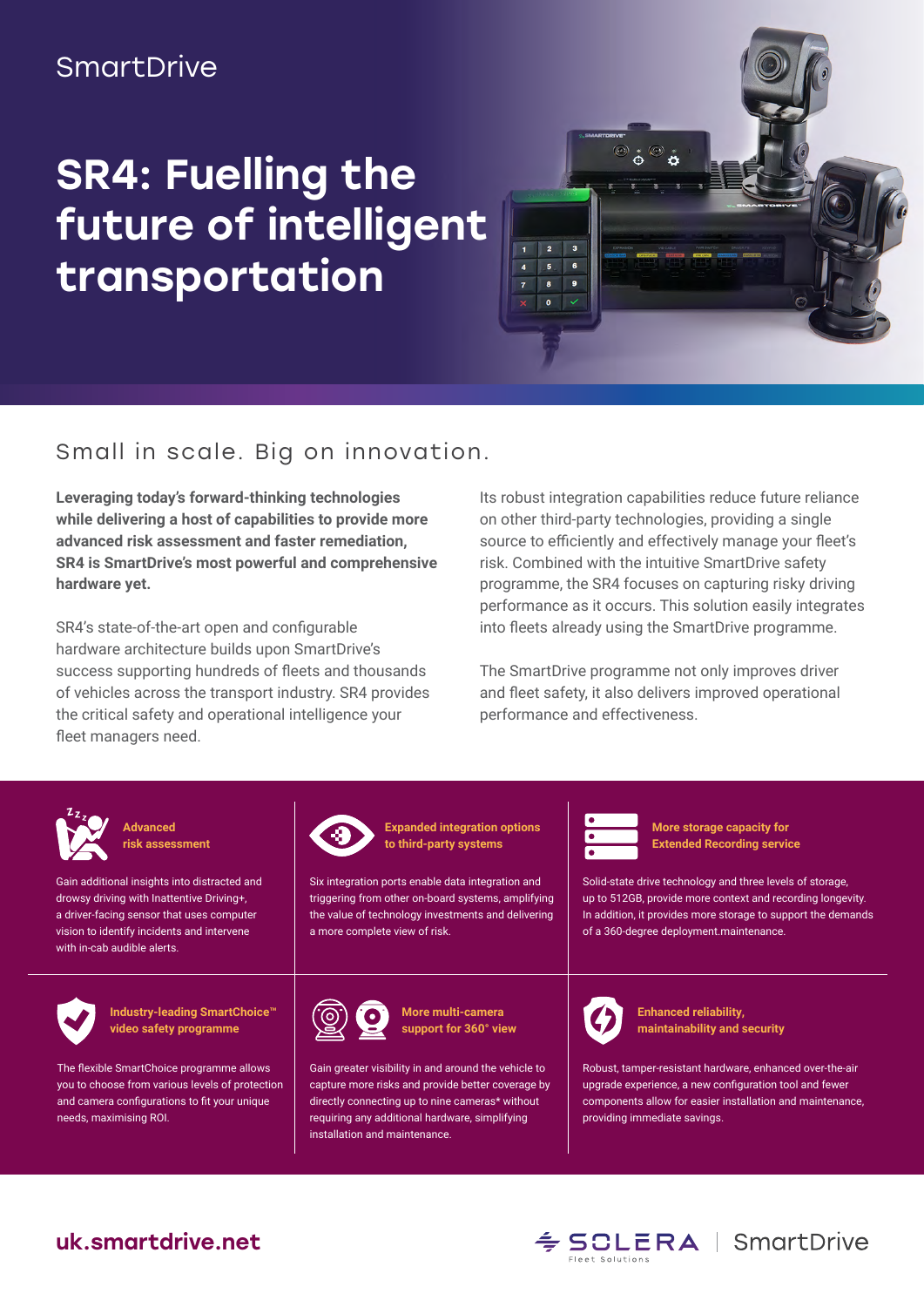### **SmartDrive**

# SR4: Fuelling the future of intelligent transportation



#### Small in scale. Big on innovation.

**Leveraging today's forward-thinking technologies while delivering a host of capabilities to provide more advanced risk assessment and faster remediation, SR4 is SmartDrive's most powerful and comprehensive hardware yet.**

SR4's state-of-the-art open and configurable hardware architecture builds upon SmartDrive's success supporting hundreds of fleets and thousands of vehicles across the transport industry. SR4 provides the critical safety and operational intelligence your fleet managers need.

Its robust integration capabilities reduce future reliance on other third-party technologies, providing a single source to efficiently and effectively manage your fleet's risk. Combined with the intuitive SmartDrive safety programme, the SR4 focuses on capturing risky driving performance as it occurs. This solution easily integrates into fleets already using the SmartDrive programme.

The SmartDrive programme not only improves driver and fleet safety, it also delivers improved operational performance and effectiveness.



**Advanced risk assessment**

Gain additional insights into distracted and drowsy driving with Inattentive Driving+, a driver-facing sensor that uses computer vision to identify incidents and intervene with in-cab audible alerts.



**Industry-leading SmartChoice™ video safety programme**

The flexible SmartChoice programme allows you to choose from various levels of protection and camera configurations to fit your unique needs, maximising ROI.



**Expanded integration options to third-party systems**

Six integration ports enable data integration and triggering from other on-board systems, amplifying the value of technology investments and delivering a more complete view of risk.



**More multi-camera support for 360° view**

Gain greater visibility in and around the vehicle to capture more risks and provide better coverage by directly connecting up to nine cameras\* without requiring any additional hardware, simplifying installation and maintenance.



**More storage capacity for Extended Recording service**

Solid-state drive technology and three levels of storage, up to 512GB, provide more context and recording longevity. In addition, it provides more storage to support the demands of a 360-degree deployment.maintenance.



**Enhanced reliability, maintainability and security**

Robust, tamper-resistant hardware, enhanced over-the-air upgrade experience, a new configuration tool and fewer components allow for easier installation and maintenance, providing immediate savings.